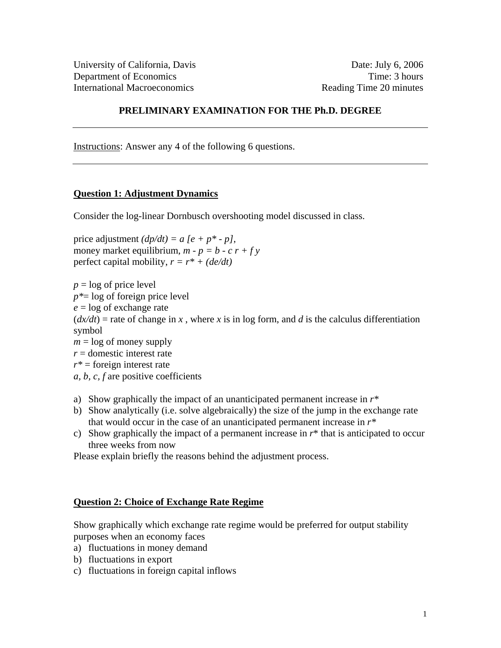# **PRELIMINARY EXAMINATION FOR THE Ph.D. DEGREE**

Instructions: Answer any 4 of the following 6 questions.

## **Question 1: Adjustment Dynamics**

Consider the log-linear Dornbusch overshooting model discussed in class.

price adjustment  $(dp/dt) = a [e + p^* - p]$ , money market equilibrium,  $m - p = b - c r + f y$ perfect capital mobility,  $r = r^* + (de/dt)$ 

 $p = \log$  of price level *p\**= log of foreign price level *e* = log of exchange rate  $(dx/dt)$  = rate of change in *x*, where *x* is in log form, and *d* is the calculus differentiation symbol  $m = \log$  of money supply *r* = domestic interest rate *r\** = foreign interest rate *a, b, c, f* are positive coefficients

- a) Show graphically the impact of an unanticipated permanent increase in *r\**
- b) Show analytically (i.e. solve algebraically) the size of the jump in the exchange rate that would occur in the case of an unanticipated permanent increase in *r\**
- c) Show graphically the impact of a permanent increase in  $r^*$  that is anticipated to occur three weeks from now

Please explain briefly the reasons behind the adjustment process.

### **Question 2: Choice of Exchange Rate Regime**

Show graphically which exchange rate regime would be preferred for output stability purposes when an economy faces

- a) fluctuations in money demand
- b) fluctuations in export
- c) fluctuations in foreign capital inflows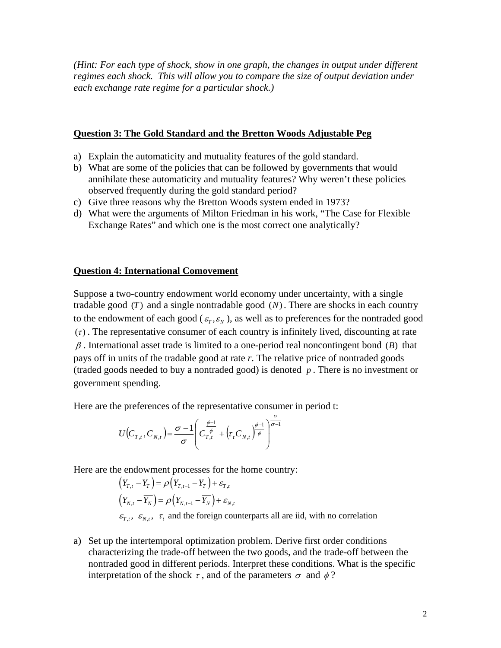*(Hint: For each type of shock, show in one graph, the changes in output under different regimes each shock. This will allow you to compare the size of output deviation under each exchange rate regime for a particular shock.)* 

#### **Question 3: The Gold Standard and the Bretton Woods Adjustable Peg**

- a) Explain the automaticity and mutuality features of the gold standard.
- b) What are some of the policies that can be followed by governments that would annihilate these automaticity and mutuality features? Why weren't these policies observed frequently during the gold standard period?
- c) Give three reasons why the Bretton Woods system ended in 1973?
- d) What were the arguments of Milton Friedman in his work, "The Case for Flexible Exchange Rates" and which one is the most correct one analytically?

### **Question 4: International Comovement**

Suppose a two-country endowment world economy under uncertainty, with a single tradable good  $(T)$  and a single nontradable good  $(N)$ . There are shocks in each country to the endowment of each good ( $\varepsilon_T$ ,  $\varepsilon_N$ ), as well as to preferences for the nontraded good  $(\tau)$ . The representative consumer of each country is infinitely lived, discounting at rate  $\beta$ . International asset trade is limited to a one-period real noncontingent bond ( $\beta$ ) that pays off in units of the tradable good at rate *r*. The relative price of nontraded goods (traded goods needed to buy a nontraded good) is denoted *p* . There is no investment or government spending.

Here are the preferences of the representative consumer in period t:

$$
U\big(C_{T,t},C_{N,t}\big)\hspace{-0.75mm}=\hspace{-0.75mm}\frac{\sigma\hspace{-0.75mm}-\hspace{-0.75mm}1}{\sigma}\hspace{-0.75mm}\left(\hspace{-0.25mm}C_{T,t}^{\frac{\phi-1}{\phi}}\hspace{-0.75mm}+\hspace{-0.75mm}\left(\hspace{-0.5mm}\tau_{t}C_{N,t}\right)^{\hspace{-0.75mm}\phi\hspace{-0.75mm}-\hspace{-0.75mm}1}_{\phi}\right)^{\hspace{-0.75mm}\frac{\sigma}{\sigma-1}}
$$

Here are the endowment processes for the home country:

- $\left( Y_{T,t} \overline{Y_{T}} \right) = \rho \left( Y_{T,t-1} \overline{Y_{T}} \right) + \mathcal{E}_{T,t}$  $\left( Y_{_{N,t}}-Y_{_{N}}\right) =\rho \big( Y_{_{N,t-1}}-Y_{_{N}}\big) +\varepsilon _{_{N,t}}$  $\varepsilon_{T,t}$ ,  $\varepsilon_{N,t}$ ,  $\tau_t$  and the foreign counterparts all are iid, with no correlation
- a) Set up the intertemporal optimization problem. Derive first order conditions characterizing the trade-off between the two goods, and the trade-off between the nontraded good in different periods. Interpret these conditions. What is the specific interpretation of the shock  $\tau$ , and of the parameters  $\sigma$  and  $\phi$ ?